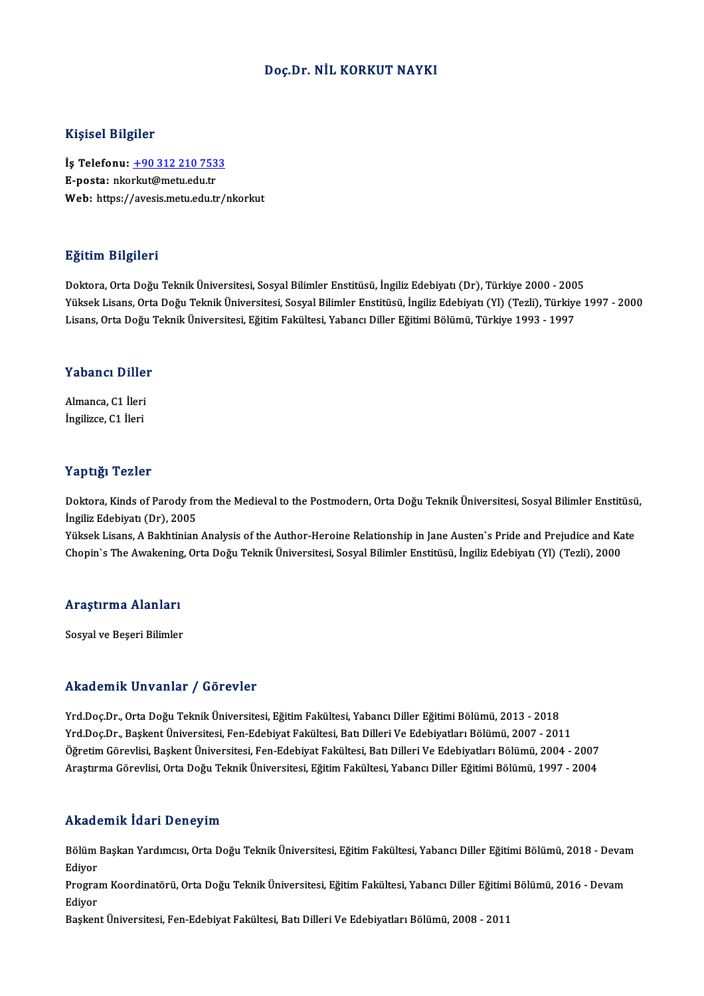### Doç.Dr. NİL KORKUT NAYKI

#### Kişisel Bilgiler

Kişisel Bilgiler<br>İş Telefonu: <u>+90 312 210 7533</u><br>E nasta: plarkut@matu.edu.tr 11191001 D1191101<br>İş Telefonu: <u>+90 312 210 753</u><br>E-posta: nko[rkut@metu.edu.tr](tel:+90 312 210 7533)<br>Web: https://avesis.metu.edu.tr E-posta: nkorkut@metu.edu.tr<br>Web: https://avesis.metu.edu.tr/nkorkut

### Eğitim Bilgileri

Doktora,OrtaDoğuTeknikÜniversitesi,SosyalBilimler Enstitüsü, İngilizEdebiyatı (Dr),Türkiye 2000 -2005 25.<br>29. Doktora, Orta Doğu Teknik Üniversitesi, Sosyal Bilimler Enstitüsü, İngiliz Edebiyatı (Dr), Türkiye 2000 - 2005<br>Yüksek Lisans, Orta Doğu Teknik Üniversitesi, Sosyal Bilimler Enstitüsü, İngiliz Edebiyatı (Yl) (Tezli) Doktora, Orta Doğu Teknik Üniversitesi, Sosyal Bilimler Enstitüsü, İngiliz Edebiyatı (Dr), Türkiye 2000 - 200<br>Yüksek Lisans, Orta Doğu Teknik Üniversitesi, Sosyal Bilimler Enstitüsü, İngiliz Edebiyatı (Yl) (Tezli), Türkiye

# Lisans, orta Dogu<br>Yabancı Diller

**Yabancı Dille**r<br>Almanca, C1 İleri<br>İngilizce, C1 İleri Almanca, C1 İleri<br>İngilizce, C1 İleri

#### Yaptığı Tezler

Doktora, Kinds of Parody from the Medieval to the Postmodern, Orta Doğu Teknik Üniversitesi, Sosyal Bilimler Enstitüsü, İngiliz Edebiyatı (Dr), 2005 Doktora, Kinds of Parody from the Medieval to the Postmodern, Orta Doğu Teknik Üniversitesi, Sosyal Bilimler Enstitüsü<br>İngiliz Edebiyatı (Dr), 2005<br>Yüksek Lisans, A Bakhtinian Analysis of the Author-Heroine Relationship in

İngiliz Edebiyatı (Dr), 2005<br>Yüksek Lisans, A Bakhtinian Analysis of the Author-Heroine Relationship in Jane Austen`s Pride and Prejudice and Ka<br>Chopin`s The Awakening, Orta Doğu Teknik Üniversitesi, Sosyal Bilimler Enstit

## <sub>Chopin's The Awakening</sub><br>Araştırma Alanları <mark>Araştırma Alanları</mark><br>Sosyal ve Beşeri Bilimler

## Akademik Unvanlar / Görevler

Yrd.Doç.Dr.,OrtaDoğuTeknikÜniversitesi,EğitimFakültesi,YabancıDiler EğitimiBölümü,2013 -2018 Yrd.Doç.Dr.,BaşkentÜniversitesi,Fen-EdebiyatFakültesi,BatıDileriVeEdebiyatlarıBölümü,2007 -2011 Öğretim Görevlisi, Başkent Üniversitesi, Fen-Edebiyat Fakültesi, Batı Dilleri Ve Edebiyatları Bölümü, 2004 - 2007 AraştırmaGörevlisi,OrtaDoğuTeknikÜniversitesi,EğitimFakültesi,YabancıDiler EğitimiBölümü,1997 -2004

#### Akademik İdari Deneyim

**Akademik İdari Deneyim**<br>Bölüm Başkan Yardımcısı, Orta Doğu Teknik Üniversitesi, Eğitim Fakültesi, Yabancı Diller Eğitimi Bölümü, 2018 - Devam<br>Ediyor essaat<br>Bölüm<br>Ediyor Bölüm Başkan Yardımcısı, Orta Doğu Teknik Üniversitesi, Eğitim Fakültesi, Yabancı Diller Eğitimi Bölümü, 2018 - Devan<br>Ediyor<br>Program Koordinatörü, Orta Doğu Teknik Üniversitesi, Eğitim Fakültesi, Yabancı Diller Eğitimi Böl

Ediyor<br>Progra:<br>Ediyor Program Koordinatörü, Orta Doğu Teknik Üniversitesi, Eğitim Fakültesi, Yabancı Diller Eğitimi<br>Ediyor<br>Başkent Üniversitesi, Fen-Edebiyat Fakültesi, Batı Dilleri Ve Edebiyatları Bölümü, 2008 - 2011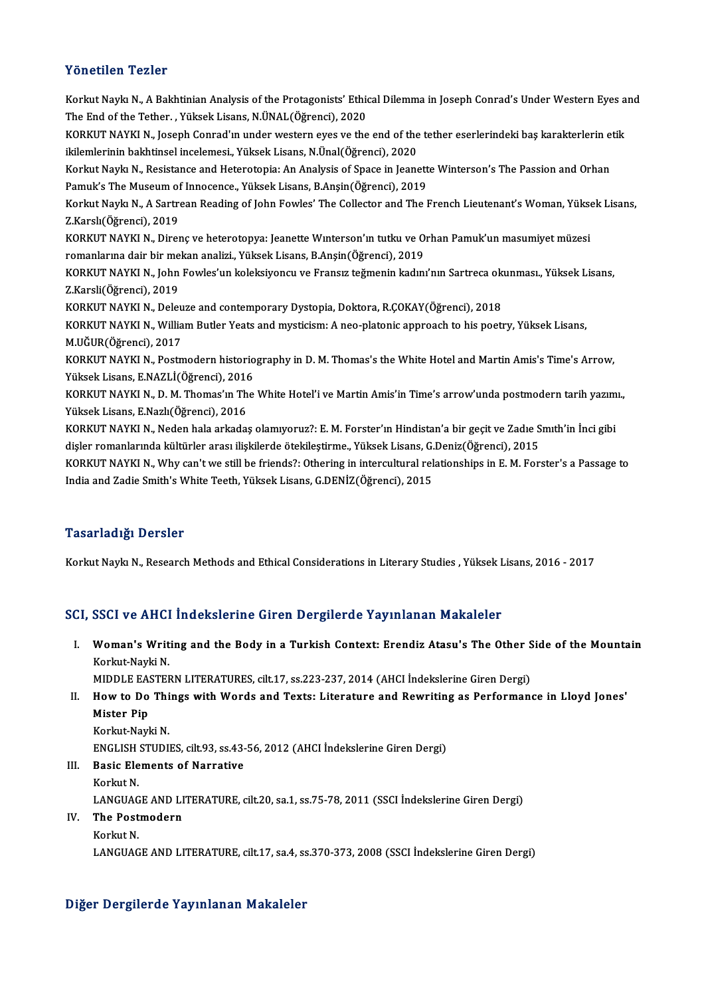### Yönetilen Tezler

Yönetilen Tezler<br>Korkut Naykı N., A Bakhtinian Analysis of the Protagonists' Ethical Dilemma in Joseph Conrad's Under Western Eyes and<br>The End of the Tether, Wilkeek Lisens N ÜNAL (Öğrensi), 2020 TONOSNON TONOS<br>Korkut Naykı N., A Bakhtinian Analysis of the Protagonists' Ethic<br>The End of the Tether. , Yüksek Lisans, N.ÜNAL(Öğrenci), 2020<br>KORKUT NAYKLN, Lasanb Cannad'ın undan wastam avas ve the Korkut Naykı N., A Bakhtinian Analysis of the Protagonists' Ethical Dilemma in Joseph Conrad's Under Western Eyes a<br>The End of the Tether. , Yüksek Lisans, N.ÜNAL(Öğrenci), 2020<br>KORKUT NAYKI N., Joseph Conrad'ın under west The End of the Tether. , Yüksek Lisans, N.ÜNAL(Öğrenci), 2020<br>KORKUT NAYKI N., Joseph Conrad'ın under western eyes ve the end of the<br>ikilemlerinin bakhtinsel incelemesi., Yüksek Lisans, N.Ünal(Öğrenci), 2020<br>Korlut Navlu N KORKUT NAYKI N., Joseph Conrad'ın under western eyes ve the end of the tether eserlerindeki baş karakterlerin e<br>ikilemlerinin bakhtinsel incelemesi., Yüksek Lisans, N.Ünal(Öğrenci), 2020<br>Korkut Naykı N., Resistance and Het ikilemlerinin bakhtinsel incelemesi., Yüksek Lisans, N.Ünal(Öğrenci), 2020<br>Korkut Naykı N., Resistance and Heterotopia: An Analysis of Space in Jeanett<br>Pamuk's The Museum of Innocence., Yüksek Lisans, B.Anşin(Öğrenci), 201 Korkut Naykı N., Resistance and Heterotopia: An Analysis of Space in Jeanette Winterson's The Passion and Orhan<br>Pamuk's The Museum of Innocence., Yüksek Lisans, B.Anşin(Öğrenci), 2019<br>Korkut Naykı N., A Sartrean Reading of Pamuk's The Museum of<br>Korkut Naykı N., A Sartro<br>Z.Karslı(Öğrenci), 2019<br>KORKUT NAYKI N., Diror Korkut Naykı N., A Sartrean Reading of John Fowles' The Collector and The French Lieutenant's Woman, Yükse<br>Z.Karslı(Öğrenci), 2019<br>KORKUT NAYKI N., Direnç ve heterotopya: Jeanette Wınterson'ın tutku ve Orhan Pamuk'un masum Z.Karslı(Öğrenci), 2019<br>KORKUT NAYKI N., Direnç ve heterotopya: Jeanette Wınterson'ın tutku ve Orhan Pamuk'un masumiyet müzesi<br>romanlarına dair bir mekan analizi., Yüksek Lisans, B.Anşin(Öğrenci), 2019 KORKUT NAYKI N., Direnç ve heterotopya: Jeanette Winterson'ın tutku ve Orhan Pamuk'un masumiyet müzesi<br>romanlarına dair bir mekan analizi., Yüksek Lisans, B.Anşin(Öğrenci), 2019<br>KORKUT NAYKI N., John Fowles'un koleksiyoncu Z.Karsli(Öğrenci),2019 KORKUT NAYKI N., John Fowles'un koleksiyoncu ve Fransız teğmenin kadını'nın Sartreca ok<br>Z.Karsli(Öğrenci), 2019<br>KORKUT NAYKI N., Deleuze and contemporary Dystopia, Doktora, R.ÇOKAY(Öğrenci), 2018<br>KORKUT NAYKI N. William Bu KORKUT NAYKI N., William Butler Yeats and mysticism: A neo-platonic approach to his poetry, Yüksek Lisans,<br>M.UĞUR(Öğrenci), 2017 KORKUT NAYKI N., Deleuze and contemporary Dystopia, Doktora, R.COKAY(Öğrenci), 2018 KORKUT NAYKI N., William Butler Yeats and mysticism: A neo-platonic approach to his poetry, Yüksek Lisans,<br>M.UĞUR(Öğrenci), 2017<br>KORKUT NAYKI N., Postmodern historiography in D. M. Thomas's the White Hotel and Martin Amis' M.UĞUR(Öğrenci), 2017<br>KORKUT NAYKI N., Postmodern historio<br>Yüksek Lisans, E.NAZLİ(Öğrenci), 2016<br>KORKUT NAYKLN, D. M. Thomas'ın The KORKUT NAYKI N., Postmodern historiography in D. M. Thomas's the White Hotel and Martin Amis's Time's Arrow,<br>Yüksek Lisans, E.NAZLİ(Öğrenci), 2016<br>KORKUT NAYKI N., D. M. Thomas'ın The White Hotel'i ve Martin Amis'in Time's Yüksek Lisans, E.NAZLİ(Öğrenci), 2016<br>KORKUT NAYKI N., D. M. Thomas'ın Th<br>Yüksek Lisans, E.Nazlı(Öğrenci), 2016<br>KORKUT NAYKLN, Nadan bala arkada KORKUT NAYKI N., D. M. Thomas'ın The White Hotel'i ve Martin Amis'in Time's arrow'unda postmodern tarih yazım<br>Yüksek Lisans, E.Nazlı(Öğrenci), 2016<br>KORKUT NAYKI N., Neden hala arkadaş olamıyoruz?: E. M. Forster'ın Hindista Yüksek Lisans, E.Nazlı(Öğrenci), 2016<br>KORKUT NAYKI N., Neden hala arkadaş olamıyoruz?: E. M. Forster'ın Hindistan'a bir geçit ve Zadıe S<br>dişler romanlarında kültürler arası ilişkilerde ötekileştirme., Yüksek Lisans, G.Deni KORKUT NAYKI N., Neden hala arkadaş olamıyoruz?: E. M. Forster'ın Hindistan'a bir geçit ve Zadıe Smıth'in İnci gibi<br>dişler romanlarında kültürler arası ilişkilerde ötekileştirme., Yüksek Lisans, G.Deniz(Öğrenci), 2015<br>KORK dişler romanlarında kültürler arası ilişkilerde ötekileştirme., Yüksek Lisans, G.<br>KORKUT NAYKI N., Why can't we still be friends?: Othering in intercultural rel<br>India and Zadie Smith's White Teeth, Yüksek Lisans, G.DENİZ(Ö

### Tasarladığı Dersler

Korkut Naykı N., Research Methods and Ethical Considerations in Literary Studies , Yüksek Lisans, 2016 - 2017

### SCI, SSCI ve AHCI İndekslerine Giren Dergilerde Yayınlanan Makaleler

- CI, SSCI ve AHCI İndekslerine Giren Dergilerde Yayınlanan Makaleler<br>I. Woman's Writing and the Body in a Turkish Context: Erendiz Atasu's The Other Side of the Mountain<br>Korkut Navki N BBB1 ve IIIIB1<br>Woman's Writ<br>Korkut-Nayki N.<br>MIDDLE FASTER Woman's Writing and the Body in a Turkish Context: Erendiz Atasu's The Other S<br>Korkut-Nayki N.<br>MIDDLE EASTERN LITERATURES, cilt.17, ss.223-237, 2014 (AHCI İndekslerine Giren Dergi)<br>How to Do Things with Words and Toyte: Li
- Korkut-Nayki N.<br>MIDDLE EASTERN LITERATURES, cilt.17, ss.223-237, 2014 (AHCI Indekslerine Giren Dergi)<br>II. How to Do Things with Words and Texts: Literature and Rewriting as Performance in Lloyd Jones'<br>Mister Pip MIDDLE EAS<br>How to Do<br>Mister Pip<br>Korlut Novl Mister Pip<br>Korkut-Nayki N.<br>ENGLISH STUDIES, cilt.93, ss.43-56, 2012 (AHCI İndekslerine Giren Dergi)<br>Posis Elementa of Narrative
	- Korkut-Nayki N.

Korkut-Nayki N.<br>ENGLISH STUDIES, cilt.93, ss.43-<br>III. Basic Elements of Narrative<br>Korkut N ENGLISH<br>Basic Ele<br>Korkut N.<br>LANCUAC Basic Elements of Narrative<br>Korkut N.<br>LANGUAGE AND LITERATURE, cilt.20, sa.1, ss.75-78, 2011 (SSCI İndekslerine Giren Dergi)<br>The Postmodern Korkut N.<br>LANGUAGE AND L.<br>IV. **The Postmodern**<br>Korkut N.

## LANGUAG<br>**The Post**<br>Korkut N.

LANGUAGEANDLITERATURE, cilt.17, sa.4, ss.370-373,2008 (SSCI İndekslerineGirenDergi)

### Diğer Dergilerde Yayınlanan Makaleler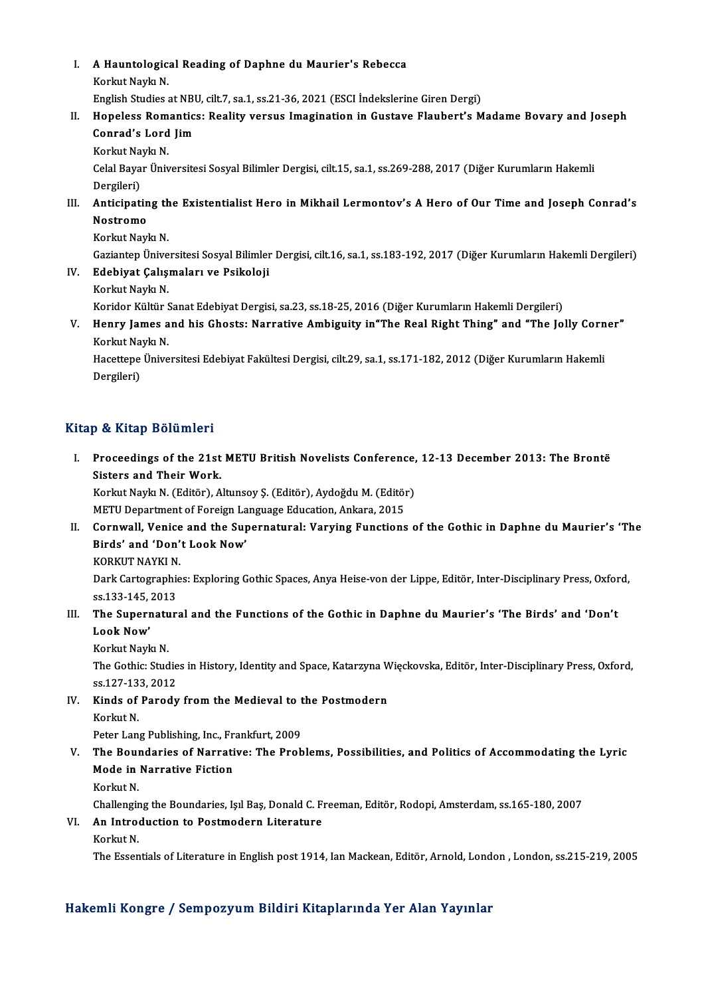I. A Hauntological Reading of Daphne du Maurier's Rebecca **A Hauntologic:<br>Korkut Naykı N.<br>English Studies (** Korkut Naykı N.<br>English Studies at NBU, cilt.7, sa.1, ss.21-36, 2021 (ESCI İndekslerine Giren Dergi)

- Korkut Naykı N.<br>I . Hopeless at NBU, cilt.7, sa.1, ss.21-36, 2021 (ESCI İndekslerine Giren Dergi)<br>II. Hopeless Romantics: Reality versus Imagination in Gustave Flaubert's Madame Bovary and Joseph<br>Connad's Lord Jim English Studies at NBI<br>Hopeless Romantic:<br>Conrad's Lord Jim<br>Korkut Navla N Hopeless Rom<br>Conrad's Lord<br>Korkut Naykı N.<br>Colal Bayar Üniy
	-

Conrad's Lord Jim<br>Korkut Naykı N.<br>Celal Bayar Üniversitesi Sosyal Bilimler Dergisi, cilt.15, sa.1, ss.269-288, 2017 (Diğer Kurumların Hakemli<br>Dergileri) Korkut Na<br>Celal Baya<br>Dergileri)<br>Anticinati Celal Bayar Üniversitesi Sosyal Bilimler Dergisi, cilt.15, sa.1, ss.269-288, 2017 (Diğer Kurumların Hakemli<br>Dergileri)<br>III. Anticipating the Existentialist Hero in Mikhail Lermontov's A Hero of Our Time and Joseph Conrad's

### Dergileri)<br><mark>Anticipatin</mark><br>Nostromo<br>Korlut Novl Anticipating th<br>Nostromo<br>Korkut Naykı N.<br>Cariantan Ünive

Nostromo<br>Korkut Naykı N.<br>Gaziantep Üniversitesi Sosyal Bilimler Dergisi, cilt.16, sa.1, ss.183-192, 2017 (Diğer Kurumların Hakemli Dergileri)

- Korkut Naykı N.<br>Gaziantep Üniversitesi Sosyal Bilimler<br>IV. Edebiyat Çalışmaları ve Psikoloji<br>Korkut Nayla N Gaziantep Ünive<br><mark>Edebiyat Çalış</mark>ı<br>Korkut Naykı N.<br>Koridar Kültür S <mark>Edebiyat Çalışmaları ve Psikoloji</mark><br>Korkut Naykı N.<br>Koridor Kültür Sanat Edebiyat Dergisi, sa.23, ss.18-25, 2016 (Diğer Kurumların Hakemli Dergileri)<br>Hanry James and biş Çhosta: Narratiya Ambiguity in"The Boal Bight Thing"
- Korkut Naykı N.<br>Koridor Kültür Sanat Edebiyat Dergisi, sa.23, ss.18-25, 2016 (Diğer Kurumların Hakemli Dergileri)<br>V. Henry James and his Ghosts: Narrative Ambiguity in"The Real Right Thing" and "The Jolly Corner"<br>Kerlu Koridor Kültür S<br><mark>Henry James a</mark><br>Korkut Naykı N.<br>Hasattana Üniva Henry James and his Ghosts: Narrative Ambiguity in"The Real Right Thing" and "The Jolly Corn<br>Korkut Naykı N.<br>Hacettepe Üniversitesi Edebiyat Fakültesi Dergisi, cilt.29, sa.1, ss.171-182, 2012 (Diğer Kurumların Hakemli<br>Derg

Korkut Naykı N.<br>Hacettepe Üniversitesi Edebiyat Fakültesi Dergisi, cilt.29, sa.1, ss.171-182, 2012 (Diğer Kurumların Hakemli<br>Dergileri)

### Kitap & Kitap Bölümleri

Itap & Kitap Bölümleri<br>I. Proceedings of the 21st METU British Novelists Conference, 12-13 December 2013: The Brontë<br>Sisters and Their Work Per stream<br>Proceedings of the 21st<br>Sisters and Their Work.<br>Korlat Novia N. (Edităr), A Proceedings of the 21st METU British Novelists Conference,<br>Sisters and Their Work.<br>Korkut Naykı N. (Editör), Altunsoy Ş. (Editör), Aydoğdu M. (Editör)<br>METU Department of Foreign Language Education, Ankara, 2015 Sisters and Their Work.<br>Korkut Naykı N. (Editör), Altunsoy Ş. (Editör), Aydoğdu M. (Editör)

Korkut Naykı N. (Editör), Altunsoy Ş. (Editör), Aydoğdu M. (Editör)<br>METU Department of Foreign Language Education, Ankara, 2015<br>II. Cornwall, Venice and the Supernatural: Varying Functions of the Gothic in Daphne du Maurie METU Department of Foreign Language Education, Ankara, 2015<br>Cornwall, Venice and the Supernatural: Varying Function:<br>Birds' and 'Don't Look Now'<br>KORKUT NAYKI N. Cornwall, Venice<br>Birds' and 'Don'<br>KORKUT NAYKI N.<br>Dork Cortographic

Birds' and 'Don't Look Now'<br>KORKUT NAYKI N.<br>Dark Cartographies: Exploring Gothic Spaces, Anya Heise-von der Lippe, Editör, Inter-Disciplinary Press, Oxford, KORKUT NAYKI N<br>Dark Cartographie<br>ss.133-145, 2013<br>The Sunennatur Dark Cartographies: Exploring Gothic Spaces, Anya Heise-von der Lippe, Editör, Inter-Disciplinary Press, Oxfor<br>195.133-145, 2013<br>III. The Supernatural and the Functions of the Gothic in Daphne du Maurier's 'The Birds' and

ss.133-145,<br>The Supern<br>Look Now'<br>Korlut Nov! The Supernatu<br>Look Now'<br>Korkut Naykı N.<br><sup>The Cothis: Stud</sub></sup>

Look Now'<br>Korkut Naykı N.<br>The Gothic: Studies in History, Identity and Space, Katarzyna Więckovska, Editör, Inter-Disciplinary Press, Oxford, Korkut Naykı N.<br>The Gothic: Studie<br>ss.127-133, 2012<br>Kinds of Banodu The Gothic: Studies in History, Identity and Space, Katarzyna W<br>ss.127-133, 2012<br>IV. Kinds of Parody from the Medieval to the Postmodern<br>Korkut N

ss.127-13<br>Kinds of<br>Korkut N. Kinds of Parody from the Medieval to t<br>Korkut N.<br>Peter Lang Publishing, Inc., Frankfurt, 2009<br>The Boundaries of Narrative: The Brob

- Korkut N.<br>Peter Lang Publishing, Inc., Frankfurt, 2009<br>V. The Boundaries of Narrative: The Problems, Possibilities, and Politics of Accommodating the Lyric<br>Mode in Narrative Eistien Peter Lang Publishing, Inc., Fr.<br>The Boundaries of Narrati<br>Mode in Narrative Fiction<br>Korlut N The Boul<br>Mode in<br>Korkut N.<br>Challangir Mode in Narrative Fiction<br>Korkut N.<br>Challenging the Boundaries, Işıl Baş, Donald C. Freeman, Editör, Rodopi, Amsterdam, ss.165-180, 2007
	-

## Korkut N.<br>Challenging the Boundaries, Işıl Baş, Donald C. F.<br>VI. An Introduction to Postmodern Literature

Challengir<br>**An Intro**<br>Korkut N.<br>The Fesen

Korkut N.<br>The Essentials of Literature in English post 1914, Ian Mackean, Editör, Arnold, London, London, ss.215-219, 2005

### Hakemli Kongre / Sempozyum Bildiri Kitaplarında Yer Alan Yayınlar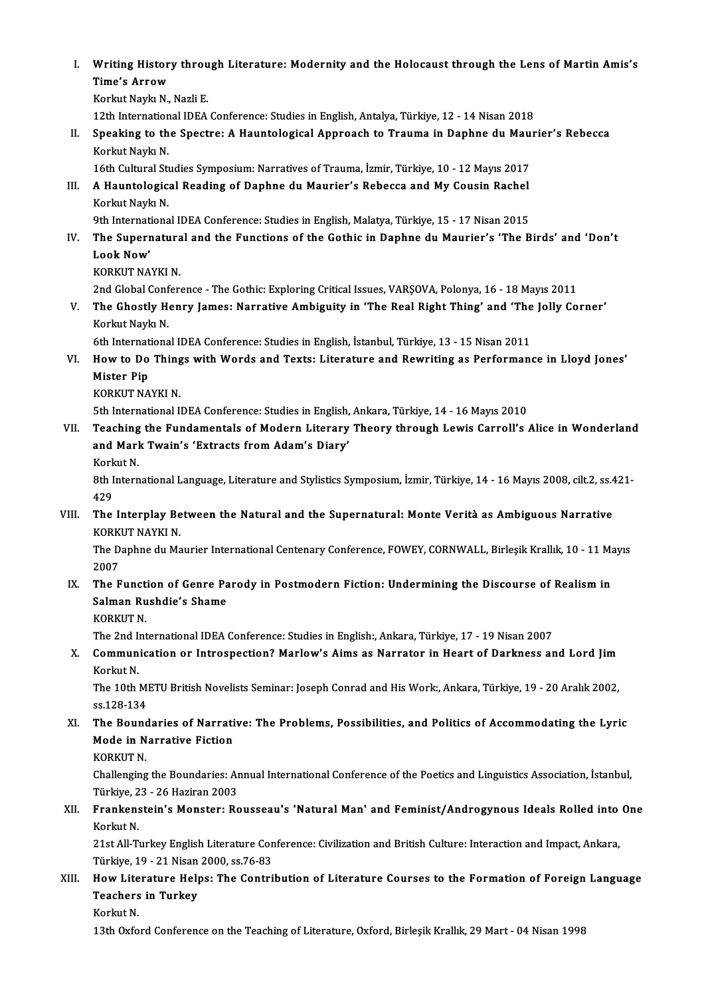I. Writing History through Literature: Modernity and the Holocaust through the Lens of Martin Amis's<br>Time's Arrew Writing Histor<br>Time's Arrow<br>Korlut Navlu N Time's Arrow<br>Korkut Naykı N., Nazli E. Ti<mark>me's Arrow</mark><br>Korkut Naykı N., Nazli E.<br>12th International IDEA Conference: Studies in English, Antalya, Türkiye, 12 - 14 Nisan 2018<br>Speaking to the Speatre: A Hauntelegisel Annreach to Traume in Danhne du Maun

- Korkut Naykı N., Nazli E.<br>12th International IDEA Conference: Studies in English, Antalya, Türkiye, 12 14 Nisan 2018<br>II. Speaking to the Spectre: A Hauntological Approach to Trauma in Daphne du Maurier's Rebecca<br>Kerl 12th Internation<br>Speaking to th<br>Korkut Naykı N.<br>16th Cultural Sti Speaking to the Spectre: A Hauntological Approach to Trauma in Daphne du Mau<br>Korkut Naykı N.<br>16th Cultural Studies Symposium: Narratives of Trauma, İzmir, Türkiye, 10 - 12 Mayıs 2017<br>A Hauntological Beading of Daphne du Ma
	-
- Korkut Naykı N.<br>16th Cultural Studies Symposium: Narratives of Trauma, İzmir, Türkiye, 10 12 Mayıs 2017<br>III. A Hauntological Reading of Daphne du Maurier's Rebecca and My Cousin Rachel<br>Korkut Nayla N 16th Cultural Studies Symposium: Narratives of Trauma, İzmir, Türkiye, 10 - 12 Mayıs 2017<br>A Hauntological Reading of Daphne du Maurier's Rebecca and My Cousin Rachel<br>Korkut Naykı N.<br>9th International IDEA Conference: Studi A Hauntological Reading of Daphne du Maurier's Rebecca and My Cousin Rachel<br>Korkut Naykı N.<br>9th International IDEA Conference: Studies in English, Malatya, Türkiye, 15 - 17 Nisan 2015<br>The Sunernatural and the Eunstiens of

- Korkut Naykı N.<br>19th International IDEA Conference: Studies in English, Malatya, Türkiye, 15 17 Nisan 2015<br>19th Supernatural and the Functions of the Gothic in Daphne du Maurier's 'The Birds' and 'Don't<br>19th Now' **9th Internat<br>The Superi<br>Look Now'**<br>KOPKUT NA The Supernatura<br>Look Now'<br>KORKUT NAYKI N.<br>2nd Clabel Confor Look Now'<br>KORKUT NAYKI N.<br>2nd Global Conference - The Gothic: Exploring Critical Issues, VARŞOVA, Polonya, 16 - 18 Mayıs 2011<br>The Chostly Honry James: Narratiye Ambisyity in 'The Beel Bisht Thing' and 'The Jelly Ce
	-

KORKUT NAYKI N.<br>2nd Global Conference - The Gothic: Exploring Critical Issues, VARŞOVA, Polonya, 16 - 18 Mayıs 2011<br>2011 - V. The Ghostly Henry James: Narrative Ambiguity in 'The Real Right Thing' and 'The Jolly Corner'<br>Ke 2nd Global Conf<br>**The Ghostly H**<br>Korkut Naykı N.<br><sup>6th Internations</sup> The Ghostly Henry James: Narrative Ambiguity in 'The Real Right Thing' and 'The<br>Korkut Naykı N.<br>6th International IDEA Conference: Studies in English, İstanbul, Türkiye, 13 - 15 Nisan 2011<br>How to De Things with Words and T

- Korkut Naykı N.<br>6th International IDEA Conference: Studies in English, İstanbul, Türkiye, 13 15 Nisan 2011<br>VI. How to Do Things with Words and Texts: Literature and Rewriting as Performance in Lloyd Jones'<br>Mister Bin 6th Internat<br>How to Do<br>Mister Pip<br>KOPKUT NA How to Do Thing<br>Mister Pip<br>KORKUT NAYKI N.<br>Eth International I Mister Pip<br>KORKUT NAYKI N.<br>5th International IDEA Conference: Studies in English, Ankara, Türkiye, 14 - 16 Mayıs 2010
	-

- VII. Teaching the Fundamentals of Modern Literary Theory through Lewis Carroll's Alice in Wonderland 5th International IDEA Conference: Studies in English,<br>Teaching the Fundamentals of Modern Literary<br>and Mark Twain's 'Extracts from Adam's Diary'<br>Kerlut N Teaching<br>and Marl<br>Korkut N.<br><sup>9th Intorn</sup>
	-

and Mark Twain's 'Extracts from Adam's Diary'<br>Korkut N.<br>8th International Language, Literature and Stylistics Symposium, İzmir, Türkiye, 14 - 16 Mayıs 2008, cilt.2, ss.421-<br>429 Kork<br>8th I<br>429<br>The 8th International Language, Literature and Stylistics Symposium, İzmir, Türkiye, 14 - 16 Mayıs 2008, cilt.2, ss.4<br>429<br>VIII. The Interplay Between the Natural and the Supernatural: Monte Verità as Ambiguous Narrative<br>KO

429<br>The Interplay Be<br>KORKUT NAYKI N.<br>The Danhne du Me The Interplay Between the Natural and the Supernatural: Monte Verità as Ambiguous Narrative<br>KORKUT NAYKI N.<br>The Daphne du Maurier International Centenary Conference, FOWEY, CORNWALL, Birleşik Krallık, 10 - 11 Mayıs<br>2007

KORK<br>The D<br>2007<br>The F The Daphne du Maurier International Centenary Conference, FOWEY, CORNWALL, Birleşik Krallık, 10 - 11 M;<br>2007<br>IX. The Function of Genre Parody in Postmodern Fiction: Undermining the Discourse of Realism in

### 2007<br>The Function of Genre Pa<br>Salman Rushdie's Shame<br>KORKUT N The Funct<br>Salman Ru<br>KORKUT N.<br>The 2nd Int Salman Rushdie's Shame<br>KORKUT N.<br>The 2nd International IDEA Conference: Studies in English:, Ankara, Türkiye, 17 - 19 Nisan 2007<br>Communisation on Integenestion? Marlow's Aims as Narrator in Heart of Darkness ar

KORKUT N.<br>The 2nd International IDEA Conference: Studies in English:, Ankara, Türkiye, 17 - 19 Nisan 2007<br>X. Communication or Introspection? Marlow's Aims as Narrator in Heart of Darkness and Lord Jim<br>Korkut N. The 2nd I<br>**Commun**<br>Korkut N.<br>The 10th I Communication or Introspection? Marlow's Aims as Narrator in Heart of Darkness and Lord Jim<br>Korkut N.<br>The 10th METU British Novelists Seminar: Joseph Conrad and His Work:, Ankara, Türkiye, 19 - 20 Aralık 2002,<br>ss 129 124

Korkut N.<br>The 10th Mi<br>ss.128-134<br>The Bound The 10th METU British Novelists Seminar: Joseph Conrad and His Work:, Ankara, Türkiye, 19 - 20 Aralık 2002,<br>ss.128-134<br>XI. The Boundaries of Narrative: The Problems, Possibilities, and Politics of Accommodating the Lyric<br>M

### ss.128-134<br>The Boundaries of Narrati<br>Mode in Narrative Fiction<br>YORKUT N The Bound<br>Mode in N<br>KORKUT N.<br>Challanging

Mode in Narrative Fiction<br>KORKUT N.<br>Challenging the Boundaries: Annual International Conference of the Poetics and Linguistics Association, İstanbul, KORKUT N.<br>Challenging the Boundaries: Ar<br>Türkiye, 23 - 26 Haziran 2003<br>Erankonstein's Monster: Be Challenging the Boundaries: Annual International Conference of the Poetics and Linguistics Association, İstanbul,<br>Türkiye, 23 - 26 Haziran 2003<br>XII. Frankenstein's Monster: Rousseau's 'Natural Man' and Feminist/Androgynous

### Türkiye, 23 - 26 Haziran 2003<br>Frankenstein's Monster: Rousseau's 'Natural Man' and Feminist/Androgynous Ideals Rolled into<br>Korkut N.<br>21st All-Turkey English Literature Conference: Civilization and British Culture: Interact XII. Frankenstein's Monster: Rousseau's 'Natural Man' and Feminist/Androgynous Ideals Rolled into One

Korkut N.<br>21st All-Turkey English Literature Con<br>Türkiye, 19 - 21 Nisan 2000, ss.76-83<br>How Literature Helpey The Contri 21st All-Turkey English Literature Conference: Civilization and British Culture: Interaction and Impact, Ankara,<br>Türkiye, 19 - 21 Nisan 2000, ss.76-83<br>XIII. How Literature Helps: The Contribution of Literature Courses

### Türkiye, 19 - 21 Nisan<br>How Literature Hel<sub>l</sub><br>Teachers in Turkey<br><sup>Konlat N</sup> How Lite<br>Teachers<br>Korkut N.<br>12th Orfe Teachers in Turkey<br>Korkut N.<br>13th Oxford Conference on the Teaching of Literature, Oxford, Birleşik Krallık, 29 Mart - 04 Nisan 1998